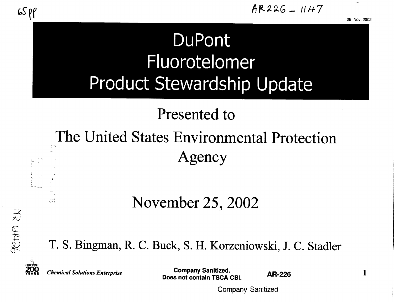1

# DuPont Fluorotelomer **Product Stewardship Update**

## Presented to

# The United States Environmental Protection Agency

### November 25, 2002

T. S. Bingman, R. C. Buck, S. H. Korzeniowski, J. C. Stadler



 $\zeta$ 

**Chemical Solutions Enterprise** 

**Company Sanitized.** Does not contain TSCA CBI.

**AR-226** 

Company Sanitized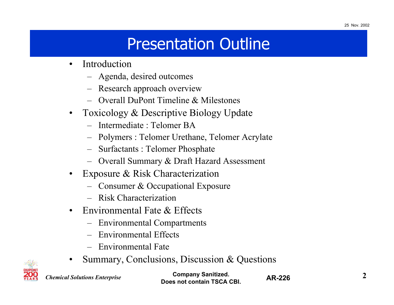# Presentation Outline

- $\bullet$  Introduction
	- –Agenda, desired outcomes
	- Research approach overview
	- Overall DuPont Timeline & Milestones
- $\bullet$  Toxicology & Descriptive Biology Update
	- Intermediate : Telomer BA
	- –Polymers : Telomer Urethane, Telomer Acrylate
	- Surfactants : Telomer Phosphate
	- Overall Summary & Draft Hazard Assessment
- $\bullet$  Exposure & Risk Characterization
	- Consumer & Occupational Exposure
	- Risk Characterization
- $\bullet$  Environmental Fate & Effects
	- –Environmental Compartments
	- –Environmental Effects
	- Environmental Fate
- $\bullet$ Summary, Conclusions, Discussion & Questions



*Chemical Solutions Enterprise*

**Company Sanitized. 2Does not contain TSCA CBI.**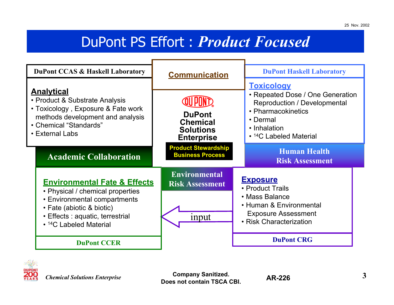### DuPont PS Effort : *Product Focused*

| <b>DuPont CCAS &amp; Haskell Laboratory</b>                                                                                                                                                                        |                                                                           | <b>DuPont Haskell Laboratory</b>                                                                                                                                |
|--------------------------------------------------------------------------------------------------------------------------------------------------------------------------------------------------------------------|---------------------------------------------------------------------------|-----------------------------------------------------------------------------------------------------------------------------------------------------------------|
|                                                                                                                                                                                                                    | <b>Communication</b>                                                      | <b>Toxicology</b>                                                                                                                                               |
| <b>Analytical</b><br>• Product & Substrate Analysis<br>• Toxicology, Exposure & Fate work<br>methods development and analysis<br>• Chemical "Standards"<br>• External Labs                                         | <b>DuPont</b><br><b>Chemical</b><br><b>Solutions</b><br><b>Enterprise</b> | • Repeated Dose / One Generation<br><b>Reproduction / Developmental</b><br>• Pharmacokinetics<br>• Dermal<br>• Inhalation<br>• <sup>14</sup> C Labeled Material |
| <b>Academic Collaboration</b>                                                                                                                                                                                      | <b>Product Stewardship</b><br><b>Business Process</b>                     | <b>Human Health</b><br><b>Risk Assessment</b>                                                                                                                   |
| <b>Environmental Fate &amp; Effects</b><br>• Physical / chemical properties<br>• Environmental compartments<br>• Fate (abiotic & biotic)<br>• Effects : aquatic, terrestrial<br>• <sup>14</sup> C Labeled Material | <b>Environmental</b><br><b>Risk Assessment</b><br>input                   | <u>Exposure</u><br>• Product Trails<br>• Mass Balance<br>• Human & Environmental<br><b>Exposure Assessment</b><br>• Risk Characterization                       |
| <b>DuPont CCER</b>                                                                                                                                                                                                 |                                                                           | <b>DuPont CRG</b>                                                                                                                                               |



*Chemical Solutions Enterprise*

Company Sanitized. **3 AR-226 3 Does not contain TSCA CBI.**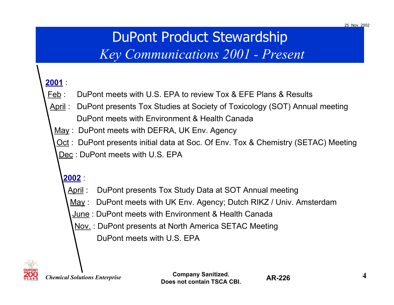## DuPont Product Stewardship

### *Key Communications 2001 - Present*

#### **2001** :

- Feb : DuPont meets with U.S. EPA to review Tox & EFE Plans & Results
- April : DuPont presents Tox Studies at Society of Toxicology (SOT) Annual meeting DuPont meets with Environment & Health Canada
	- May : DuPont meets with DEFRA, UK Env. Agency
	- Oct : DuPont presents initial data at Soc. Of Env. Tox & Chemistry (SETAC) Meeting
	- Dec : DuPont meets with U.S. EPA

#### **2002** :

- April : DuPont presents Tox Study Data at SOT Annual meeting
- May : DuPont meets with UK Env. Agency; Dutch RIKZ / Univ. Amsterdam
- June : DuPont meets with Environment & Health Canada
	- Nov. : DuPont presents at North America SETAC Meeting
		- DuPont meets with U.S. EPA



*Chemical Solutions Enterprise*

**Company Sanitized. 4Does not contain TSCA CBI.**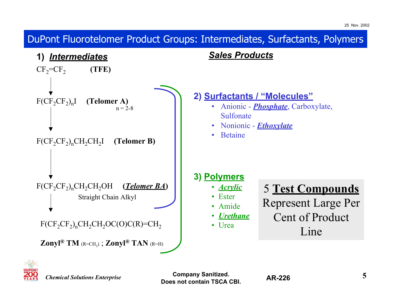$CF_2 = CF_2$  **(TFE)**  $F(CF_2CF_2)_nI$  (**Telomer A)** *Sales Products* $n = 2 - 8$ **2) Surfactants / "Molecules"** • Anionic - *Phosphate*, Carboxylate, Sulfonate• Nonionic - *Ethoxylate* **1)** *Intermediates* DuPont Fluorotelomer Product Groups: Intermediates, Surfactants, Polymers

•Betaine

**3) Polymers**

• *Acrylic*

#### 5 **Test Compounds**

- Ester• Amide
- *Urethane*
- Urea
- Represent Large Per Cent of Product

#### Line



*Chemical Solutions Enterprise*

F(CF<sub>2</sub>CF<sub>2</sub>)<sub>n</sub>CH<sub>2</sub>CH<sub>2</sub>I **(Telomer B)** 

 $F(CF_2CF_2)_nCH_2CH_2OH$  (*Telomer BA*)

 $F(CF_2CF_2)_nCH_2CH_2OC(O)C(R)=CH_2$ 

**Zonyl**<sup>®</sup> **TM** ( $R = CH_3$ ); **Zonyl**<sup>®</sup> **TAN** ( $R = H$ )

Straight Chain Alkyl

**Company Sanitized. 5Does not contain TSCA CBI.**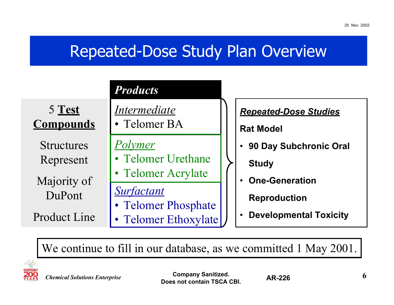### Repeated-Dose Study Plan Overview

|                                                    | <b>Products</b>                             |                                                      |
|----------------------------------------------------|---------------------------------------------|------------------------------------------------------|
| $5 \; \underline{\text{Test}}$<br><b>Compounds</b> | <i>Intermediate</i><br>• Telomer BA         | <b>Repeated-Dose Studies</b><br><b>Rat Model</b>     |
| <b>Structures</b><br>Represent                     | Polymer<br>• Telomer Urethane               | 90 Day Subchronic Oral<br><b>Study</b>               |
| Majority of<br>DuPont                              | • Telomer Acrylate<br><b>Surfactant</b>     | <b>One-Generation</b>                                |
| <b>Product Line</b>                                | • Telomer Phosphate<br>• Telomer Ethoxylate | <b>Reproduction</b><br><b>Developmental Toxicity</b> |

We continue to fill in our database, as we committed 1 May 2001.

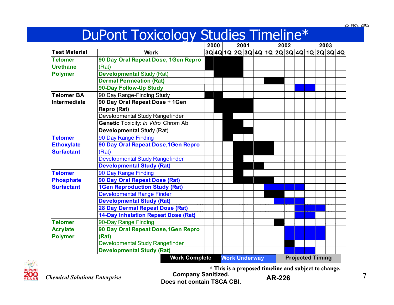### DuPont Toxicology Studies Timeline\*

|                      |                                            | 2000 | 2001 |                      | 2002                                      |  |  |  | 2003 |                         |  |  |
|----------------------|--------------------------------------------|------|------|----------------------|-------------------------------------------|--|--|--|------|-------------------------|--|--|
| <b>Test Material</b> | <b>Work</b>                                |      |      |                      | 3Q 4Q 1Q 2Q 3Q 4Q 1Q 2Q 3Q 4Q 1Q 2Q 3Q 4Q |  |  |  |      |                         |  |  |
| <b>Telomer</b>       | 90 Day Oral Repeat Dose, 1Gen Repro        |      |      |                      |                                           |  |  |  |      |                         |  |  |
| <b>Urethane</b>      | (Rat)                                      |      |      |                      |                                           |  |  |  |      |                         |  |  |
| <b>Polymer</b>       | <b>Developmental Study (Rat)</b>           |      |      |                      |                                           |  |  |  |      |                         |  |  |
|                      | <b>Dermal Permeation (Rat)</b>             |      |      |                      |                                           |  |  |  |      |                         |  |  |
|                      | 90-Day Follow-Up Study                     |      |      |                      |                                           |  |  |  |      |                         |  |  |
| <b>Telomer BA</b>    | 90 Day Range-Finding Study                 |      |      |                      |                                           |  |  |  |      |                         |  |  |
| Intermediate         | 90 Day Oral Repeat Dose + 1Gen             |      |      |                      |                                           |  |  |  |      |                         |  |  |
|                      | Repro (Rat)                                |      |      |                      |                                           |  |  |  |      |                         |  |  |
|                      | Developmental Study Rangefinder            |      |      |                      |                                           |  |  |  |      |                         |  |  |
|                      | Genetic Toxicity: In Vitro Chrom Ab        |      |      |                      |                                           |  |  |  |      |                         |  |  |
|                      | Developmental Study (Rat)                  |      |      |                      |                                           |  |  |  |      |                         |  |  |
| <b>Telomer</b>       | 90 Day Range Finding                       |      |      |                      |                                           |  |  |  |      |                         |  |  |
| <b>Ethoxylate</b>    | 90 Day Oral Repeat Dose, 1Gen Repro        |      |      |                      |                                           |  |  |  |      |                         |  |  |
| <b>Surfactant</b>    | (Rat)                                      |      |      |                      |                                           |  |  |  |      |                         |  |  |
|                      | <b>Developmental Study Rangefinder</b>     |      |      |                      |                                           |  |  |  |      |                         |  |  |
|                      | <b>Developmental Study (Rat)</b>           |      |      |                      |                                           |  |  |  |      |                         |  |  |
| <b>Telomer</b>       | 90 Day Range Finding                       |      |      |                      |                                           |  |  |  |      |                         |  |  |
| <b>Phosphate</b>     | 90 Day Oral Repeat Dose (Rat)              |      |      |                      |                                           |  |  |  |      |                         |  |  |
| <b>Surfactant</b>    | <b>1Gen Reproduction Study (Rat)</b>       |      |      |                      |                                           |  |  |  |      |                         |  |  |
|                      | <b>Developmental Range Finder</b>          |      |      |                      |                                           |  |  |  |      |                         |  |  |
|                      | <b>Developmental Study (Rat)</b>           |      |      |                      |                                           |  |  |  |      |                         |  |  |
|                      | <b>28 Day Dermal Repeat Dose (Rat)</b>     |      |      |                      |                                           |  |  |  |      |                         |  |  |
|                      | <b>14-Day Inhalation Repeat Dose (Rat)</b> |      |      |                      |                                           |  |  |  |      |                         |  |  |
| <b>Telomer</b>       | 90-Day Range Finding                       |      |      |                      |                                           |  |  |  |      |                         |  |  |
| <b>Acrylate</b>      | 90 Day Oral Repeat Dose, 1Gen Repro        |      |      |                      |                                           |  |  |  |      |                         |  |  |
| Polymer              | (Rat)                                      |      |      |                      |                                           |  |  |  |      |                         |  |  |
|                      | <b>Developmental Study Rangefinder</b>     |      |      |                      |                                           |  |  |  |      |                         |  |  |
|                      | <b>Developmental Study (Rat)</b>           |      |      |                      |                                           |  |  |  |      |                         |  |  |
|                      | <b>Work Complete</b>                       |      |      | <b>Work Underway</b> |                                           |  |  |  |      | <b>Projected Timing</b> |  |  |



*Chemical Solutions Enterprise*

**Company Sanitized. AR-226 Does not contain TSCA CBI.**

**\* This is a proposed timeline and subject to change.**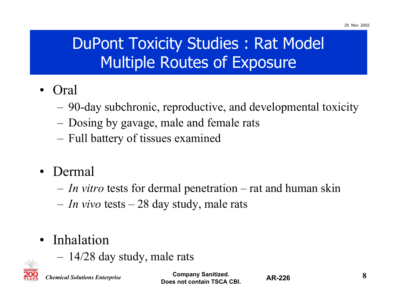# DuPont Toxicity Studies : Rat Model Multiple Routes of Exposure

- • Oral
	- 90-day subchronic, reproductive, and developmental toxicity
	- –Dosing by gavage, male and female rats
	- –Full battery of tissues examined
- Dermal
	- *In vitro* tests for dermal penetration rat and human skin
	- –*In vivo* tests – 28 day study, male rats
- • Inhalation
	- –14/28 day study, male rats



*Chemical Solutions Enterprise*

**Company Sanitized. 8Does not contain TSCA CBI.**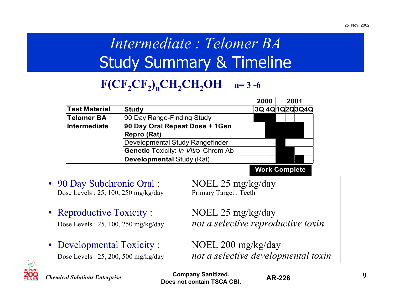# *Intermediate : Telomer BA*Study Summary & Timeline

### $F(CF_2CF_2)_nCH_2CH_2OH$  n=3-6

| <b>Study</b>                               |  |      |                           |
|--------------------------------------------|--|------|---------------------------|
| 90 Day Range-Finding Study                 |  |      |                           |
| 90 Day Oral Repeat Dose + 1Gen             |  |      |                           |
| <b>Repro (Rat)</b>                         |  |      |                           |
| Developmental Study Rangefinder            |  |      |                           |
| <b>Genetic Toxicity: In Vitro Chrom Ab</b> |  |      |                           |
| <b>Developmental Study (Rat)</b>           |  |      |                           |
|                                            |  | 2000 | 2001<br>3Q 4Q 1Q 2Q 3Q 4Q |

**Work Complete**

- 90 Day Subchronic Oral : NOEL 25 mg/kg/day Dose Levels : 25, 100, 250 mg/kg/day Primary Target : Teeth
- Reproductive Toxicity : NOEL 25 mg/kg/day
- $\bullet$ Developmental Toxicity : NOEL 200 mg/kg/day

Dose Levels : 25, 100, 250 mg/kg/day *not a selective reproductive toxin*

Dose Levels : 25, 200, 500 mg/kg/day *not a selective developmental toxin*



*Chemical Solutions Enterprise*

**Company Sanitized. AD 226 9 9 Does not contain TSCA CBI.**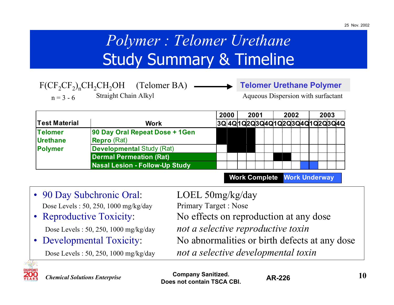# *Polymer : Telomer Urethane* Study Summary & Timeline

|             |                      | $F(CF_2CF_2)_nCH_2CH_2OH$ (Telomer BA) | <b>Telomer Urethane Polymer</b>    |
|-------------|----------------------|----------------------------------------|------------------------------------|
| $n = 3 - 6$ | Straight Chain Alkyl |                                        | Aqueous Dispersion with surfactant |

|                      |                                       | 2000 | 2001 |  | 2002 |  | 2003 |                                           |
|----------------------|---------------------------------------|------|------|--|------|--|------|-------------------------------------------|
| <b>Test Material</b> | <b>Work</b>                           |      |      |  |      |  |      | 3Q 4Q 1Q 2Q 3Q 4Q 1Q 2Q 3Q 4Q 1Q 2Q 3Q 4Q |
| <b>Telomer</b>       | 90 Day Oral Repeat Dose + 1Gen        |      |      |  |      |  |      |                                           |
| <b>Urethane</b>      | <b>Repro</b> (Rat)                    |      |      |  |      |  |      |                                           |
| <b>Polymer</b>       | <b>Developmental Study (Rat)</b>      |      |      |  |      |  |      |                                           |
|                      | <b>Dermal Permeation (Rat)</b>        |      |      |  |      |  |      |                                           |
|                      | <b>Nasal Lesion - Follow-Up Study</b> |      |      |  |      |  |      |                                           |

**Work Complete Work Underway**

- 90 Day Subchronic Oral: LOEL 50mg/kg/day Dose Levels : 50, 250, 1000 mg/kg/day Primary Target : Nose
- •

•

Reproductive Toxicity: No effects on reproduction at any dose Dose Levels : 50, 250, 1000 mg/kg/day *not a selective reproductive toxin* Developmental Toxicity: No abnormalities or birth defects at any dose Dose Levels : 50, 250, 1000 mg/kg/day *not a selective developmental toxin*



**Company Sanitized. 10**<br>**10 Does not contain TSCA CBI.**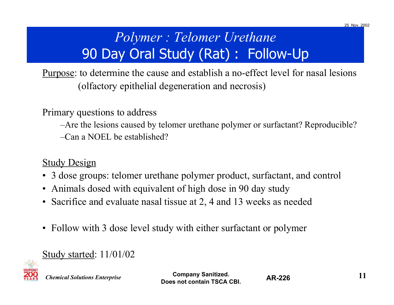## *Polymer : Telomer Urethane* 90 Day Oral Study (Rat) : Follow-Up

Purpose: to determine the cause and establish a no-effect level for nasal lesions (olfactory epithelial degeneration and necrosis)

Primary questions to address

–Are the lesions caused by telomer urethane polymer or surfactant? Reproducible?

–Can a NOEL be established?

#### **Study Design**

- 3 dose groups: telomer urethane polymer product, surfactant, and control
- Animals dosed with equivalent of high dose in 90 day study
- Sacrifice and evaluate nasal tissue at 2, 4 and 13 weeks as needed
- $\bullet$ Follow with 3 dose level study with either surfactant or polymer

#### Study started: 11/01/02



*Chemical Solutions Enterprise*

**Company Sanitized. 11 11 Does not contain TSCA CBI.**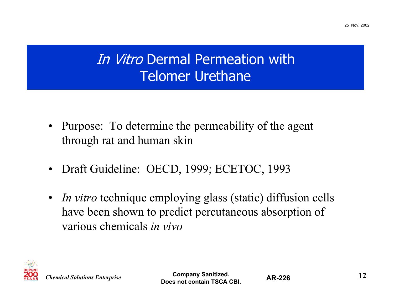## In Vitro Dermal Permeation with Telomer Urethane

- $\bullet$  Purpose: To determine the permeability of the agent through rat and human skin
- $\bullet$ Draft Guideline: OECD, 1999; ECETOC, 1993
- *In vitro* technique employing glass (static) diffusion cells have been shown to predict percutaneous absorption of various chemicals *in vivo*



**Company Sanitized. 12Does not contain TSCA CBI.**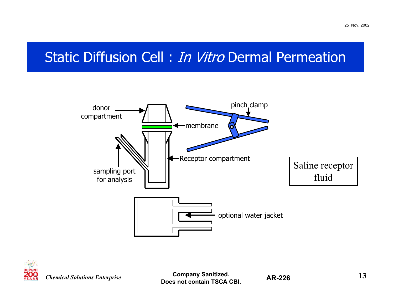### Static Diffusion Cell : *In Vitro* Dermal Permeation





*Chemical Solutions Enterprise*

**Company Sanitized. 13Does not contain TSCA CBI.**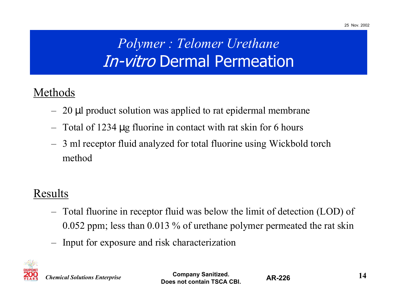## *Polymer : Telomer Urethane* In-vitro Dermal Permeation

### Methods

- –20 µl product solution was applied to rat epidermal membrane
- Total of 1234 µg fluorine in contact with rat skin for 6 hours
- 3 ml receptor fluid analyzed for total fluorine using Wickbold torch method

### Results

- – Total fluorine in receptor fluid was below the limit of detection (LOD) of 0.052 ppm; less than 0.013 % of urethane polymer permeated the rat skin
- –Input for exposure and risk characterization



*Chemical Solutions Enterprise*

**Company Sanitized. 14Does not contain TSCA CBI.**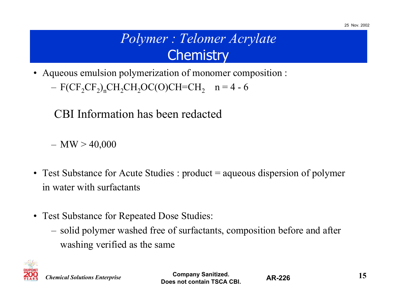## *Polymer : Telomer Acrylate* **Chemistry**

• Aqueous emulsion polymerization of monomer composition :

– $F(CF_2CF_2)_nCH_2CH_2OC(O)CH=CH_2$  n = 4 - 6

CBI Information has been redacted

 $-~\mathrm{MW}$   $>$  40,000

- Test Substance for Acute Studies : product = aqueous dispersion of polymer in water with surfactants
- Test Substance for Repeated Dose Studies:
	- solid polymer washed free of surfactants, composition before and after washing verified as the same



*Chemical Solutions Enterprise*

**Company Sanitized. 15Does not contain TSCA CBI.**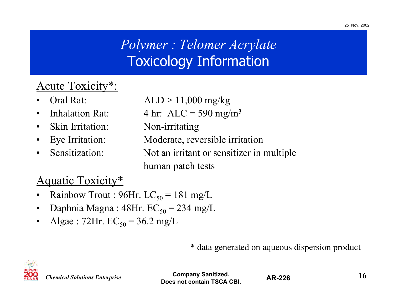## *Polymer : Telomer Acrylate* Toxicology Information

#### Acute Toxicity\*:

- •
- •
- Skin Irritation: Non-irritating
- $\bullet$
- Sensitization:

Oral Rat:  $ALD > 11,000$  mg/kg

- Inhalation Rat:  $4 \text{ hr: ALC} = 590 \text{ mg/m}^3$ 
	-
- Eye Irritation: Moderate, reversible irritation
	- Not an irritant or sensitizer in multiple human patch tests

#### Aquatic Toxicity\*

- •Rainbow Trout : 96Hr.  $LC_{50} = 181$  mg/L
- •Daphnia Magna : 48Hr.  $EC_{50} = 234$  mg/L
- •Algae : 72Hr.  $EC_{50} = 36.2$  mg/L

\* data generated on aqueous dispersion product



*Chemical Solutions Enterprise*

**Company Sanitized. 16 16 16 16 16 16 16 Does not contain TSCA CBI.**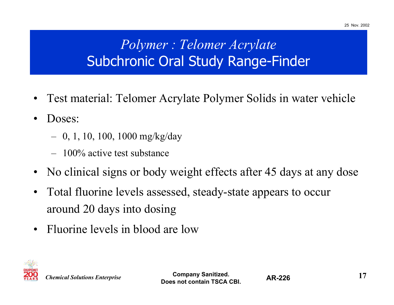## *Polymer : Telomer Acrylate* Subchronic Oral Study Range-Finder

- •Test material: Telomer Acrylate Polymer Solids in water vehicle
- • Doses:
	- –0, 1, 10, 100, 1000 mg/kg/day
	- $-$  100% active test substance
- •No clinical signs or body weight effects after 45 days at any dose
- $\bullet$  Total fluorine levels assessed, steady-state appears to occur around 20 days into dosing
- $\bullet$ Fluorine levels in blood are low



**Company Sanitized. 17 Does not contain TSCA CBI.**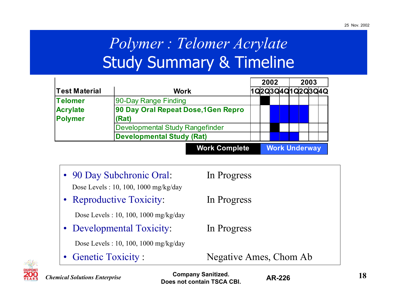# *Polymer : Telomer Acrylate* Study Summary & Timeline

|                                  |                                        | 2002 |  | 2003                 |  |  |  |  |                  |
|----------------------------------|----------------------------------------|------|--|----------------------|--|--|--|--|------------------|
| <b>Test Material</b>             | <b>Work</b>                            |      |  |                      |  |  |  |  | 1020304010203040 |
| <b>Telomer</b>                   | 90-Day Range Finding                   |      |  |                      |  |  |  |  |                  |
| <b>Acrylate</b>                  | 90 Day Oral Repeat Dose, 1Gen Repro    |      |  |                      |  |  |  |  |                  |
| <b>Polymer</b>                   | (Rat)                                  |      |  |                      |  |  |  |  |                  |
|                                  | <b>Developmental Study Rangefinder</b> |      |  |                      |  |  |  |  |                  |
| <b>Developmental Study (Rat)</b> |                                        |      |  |                      |  |  |  |  |                  |
|                                  | <b>Work Complete</b>                   |      |  | <b>Work Underway</b> |  |  |  |  |                  |

• 90 Day Subchronic Oral: In Progress Dose Levels : 10, 100, 1000 mg/kg/day • Reproductive Toxicity: In Progress Dose Levels : 10, 100, 1000 mg/kg/day • Developmental Toxicity: In Progress Dose Levels : 10, 100, 1000 mg/kg/day •Genetic Toxicity : Negative Ames, Chom Ab

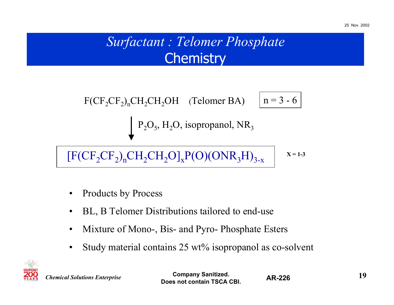## *Surfactant : Telomer Phosphate* **Chemistry**

$$
F(CF_2CF_2)_nCH_2CH_2OH \quad \text{(Telomer BA)} \quad \boxed{n=3-6}
$$
\n
$$
P_2O_5, H_2O, \text{ isopropanol, NR}_3
$$
\n
$$
[F(CF_2CF_2)_nCH_2CH_2O]_xP(O)(ONR_3H)_{3-x} \quad x=1-3
$$

 $\bullet$ Products by Process

- •BL, B Telomer Distributions tailored to end-use
- $\bullet$ Mixture of Mono-, Bis- and Pyro- Phosphate Esters
- $\bullet$ Study material contains 25 wt% isopropanol as co-solvent



*Chemical Solutions Enterprise*

**Company Sanitized. 19 Does not contain TSCA CBI.**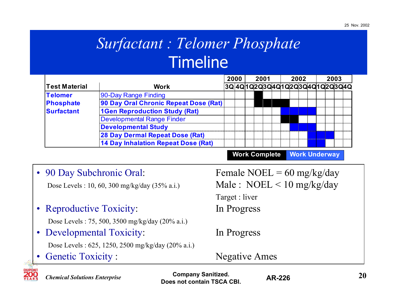## *Surfactant : Telomer Phosphate* **Timeline**

| <b>Work</b>                          |                                       |      |  |      |  |      |  |                                                    |
|--------------------------------------|---------------------------------------|------|--|------|--|------|--|----------------------------------------------------|
| 90-Day Range Finding                 |                                       |      |  |      |  |      |  |                                                    |
|                                      |                                       |      |  |      |  |      |  |                                                    |
| <b>1Gen Reproduction Study (Rat)</b> |                                       |      |  |      |  |      |  |                                                    |
| <b>Developmental Range Finder</b>    |                                       |      |  |      |  |      |  |                                                    |
| <b>Developmental Study</b>           |                                       |      |  |      |  |      |  |                                                    |
| 28 Day Dermal Repeat Dose (Rat)      |                                       |      |  |      |  |      |  |                                                    |
| 14 Day Inhalation Repeat Dose (Rat)  |                                       |      |  |      |  |      |  |                                                    |
|                                      | 90 Day Oral Chronic Repeat Dose (Rat) | 2000 |  | 2001 |  | 2002 |  | 2003<br> 3Q 4Q 1Q 2Q 3Q 4Q 1Q 2Q 3Q 4Q 1Q 2Q 3Q 4Q |

**Work Complete Work Underway**

| • 90 Day Subchronic Oral:                         | Female NOEL = $60 \text{ mg/kg/day}$ |
|---------------------------------------------------|--------------------------------------|
| Dose Levels: 10, 60, 300 mg/kg/day (35% a.i.)     | Male: $NOEL < 10$ mg/kg/day          |
|                                                   | Target : liver                       |
| • Reproductive Toxicity:                          | In Progress                          |
| Dose Levels: 75, 500, 3500 mg/kg/day (20% a.i.)   |                                      |
| • Developmental Toxicity:                         | In Progress                          |
| Dose Levels: 625, 1250, 2500 mg/kg/day (20% a.i.) |                                      |
| <b>Genetic Toxicity:</b>                          | <b>Negative Ames</b>                 |
|                                                   |                                      |



*Chemical Solutions Enterprise*

**Company Sanitized. 20**<br>**AD 226**<br>**20 Does not contain TSCA CBI.**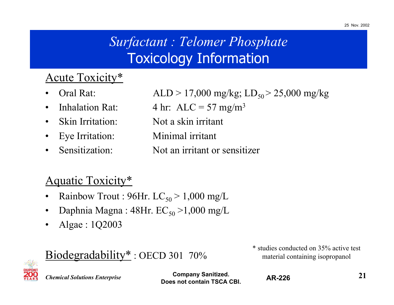### *Surfactant : Telomer Phosphate* Toxicology Information

#### Acute Toxicity\*

- •
- •
- Skin Irritation:
- •
- •

Oral Rat:  $ALD > 17,000 \text{ mg/kg}; L_{50} > 25,000 \text{ mg/kg}$ Inhalation Rat:  $4 \text{ hr: ALC} = 57 \text{ mg/m}^3$ Not a skin irritant Eye Irritation: Minimal irritant Sensitization: Not an irritant or sensitizer

#### Aquatic Toxicity\*

- •Rainbow Trout : 96Hr.  $LC_{50} > 1,000$  mg/L
- •Daphnia Magna : 48Hr.  $EC_{50}$  >1,000 mg/L

Biodegradability<sup>\*</sup>: OECD 301 70%

•Algae : 1Q2003

> \* studies conducted on 35% active test material containing isopropanol



*Chemical Solutions Enterprise*

**Company Sanitized. 21Does not contain TSCA CBI.**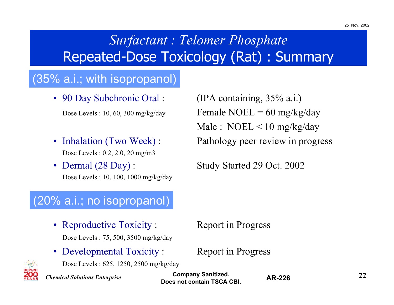### *Surfactant : Telomer Phosphate* Repeated-Dose Toxicology (Rat) : Summary

#### (35% a.i.; with isopropanol)

• 90 Day Subchronic Oral:

- Inhalation (Two Week) : Dose Levels : 0.2, 2.0, 20 mg/m3
- Dermal  $(28 \text{ Day})$ : Dose Levels : 10, 100, 1000 mg/kg/day

 $(IPA containing, 35% a.i.)$ Dose Levels : 10, 60, 300 mg/kg/day  $Female NOEL = 60 mg/kg/day$ Male : NOEL < 10 mg/kg/day Pathology peer review in progress

Study Started 29 Oct. 2002

#### (20% a.i.; no isopropanol)

- Reproductive Toxicity : Report in Progress Dose Levels : 75, 500, 3500 mg/kg/day
- Developmental Toxicity : Report in Progress

Dose Levels : 625, 1250, 2500 mg/kg/day



*Chemical Solutions Enterprise*

**Company Sanitized. 22Does not contain TSCA CBI.**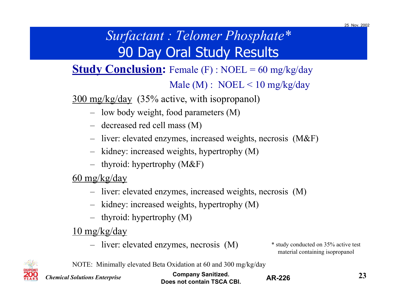### *Surfactant : Telomer Phosphate\** 90 Day Oral Study Results

### **Study Conclusion:** Female (F) : NOEL = 60 mg/kg/day Male (M) : NOEL < 10 mg/kg/day

300 mg/kg/day (35% active, with isopropanol)

- low body weight, food parameters (M)
- decreased red cell mass (M)
- liver: elevated enzymes, increased weights, necrosis (M&F)
- kidney: increased weights, hypertrophy (M)
- thyroid: hypertrophy (M&F)

60 mg/kg/day

- liver: elevated enzymes, increased weights, necrosis (M)
- kidney: increased weights, hypertrophy (M)
- thyroid: hypertrophy (M)

10 mg/kg/day

– liver: elevated enzymes, necrosis (M)

\* study conducted on 35% active test material containing isopropanol



NOTE: Minimally elevated Beta Oxidation at 60 and 300 mg/kg/day

| <b>Chemical Solutions Enterprise</b> | <b>Company Sanitized.</b><br>Does not contain TSCA CBI. | <b>AR-226</b> |  |
|--------------------------------------|---------------------------------------------------------|---------------|--|
|--------------------------------------|---------------------------------------------------------|---------------|--|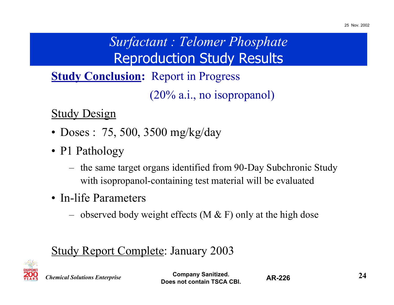### *Surfactant : Telomer Phosphate* Reproduction Study Results

**Study Conclusion:** Report in Progress (20% a.i., no isopropanol)

**Study Design** 

- Doses : 75, 500, 3500 mg/kg/day
- P1 Pathology
	- the same target organs identified from 90-Day Subchronic Study with isopropanol-containing test material will be evaluated
- In-life Parameters
	- –observed body weight effects (M  $\&$  F) only at the high dose

### Study Report Complete: January 2003



*Chemical Solutions Enterprise*

**Company Sanitized. 24Does not contain TSCA CBI.**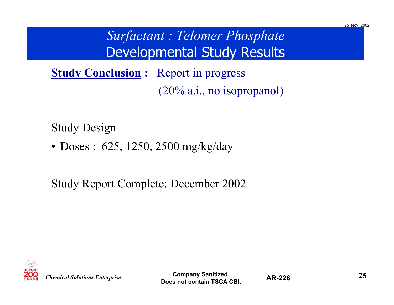### *Surfactant : Telomer Phosphate* Developmental Study Results

**Study Conclusion :** Report in progress (20% a.i., no isopropanol)

#### **Study Design**

• Doses : 625, 1250, 2500 mg/kg/day

#### Study Report Complete: December 2002



**Company Sanitized. 25Does not contain TSCA CBI.**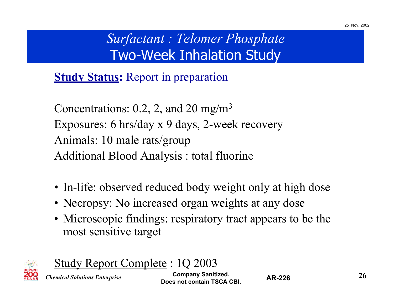### *Surfactant : Telomer Phosphate* Two-Week Inhalation Study

**Study Status:** Report in preparation

Concentrations:  $0.2$ ,  $2$ , and  $20 \text{ mg/m}^3$ Exposures: 6 hrs/day x 9 days, 2-week recovery Animals: 10 male rats/group Additional Blood Analysis : total fluorine

- In-life: observed reduced body weight only at high dose
- Necropsy: No increased organ weights at any dose
- Microscopic findings: respiratory tract appears to be the most sensitive target



Study Report Complete : 1Q 2003

*Chemical Solutions Enterprise*

**Company Sanitized. 26 26 276 Does not contain TSCA CBI.**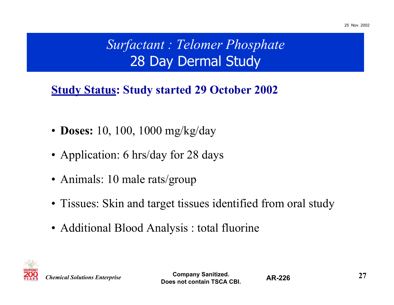### *Surfactant : Telomer Phosphate* 28 Day Dermal Study

### **Study Status: Study started 29 October 2002**

- **Doses:** 10, 100, 1000 mg/kg/day
- Application: 6 hrs/day for 28 days
- Animals: 10 male rats/group
- Tissues: Skin and target tissues identified from oral study
- Additional Blood Analysis : total fluorine



**Company Sanitized. 27Does not contain TSCA CBI.**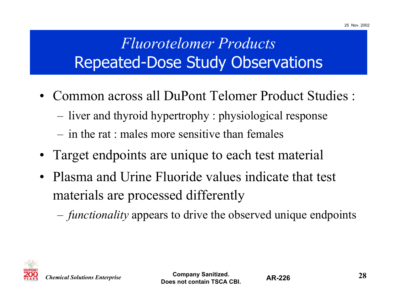# *Fluorotelomer Products*Repeated-Dose Study Observations

- Common across all DuPont Telomer Product Studies :
	- –liver and thyroid hypertrophy : physiological response
	- in the rat : males more sensitive than females
- $\bullet$ Target endpoints are unique to each test material
- Plasma and Urine Fluoride values indicate that test materials are processed differently
	- –*functionality* appears to drive the observed unique endpoints

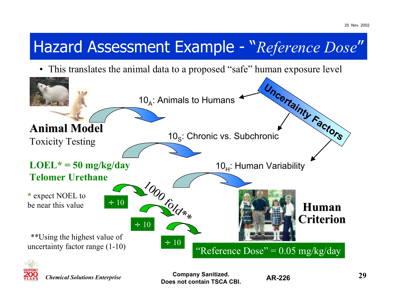# Hazard Assessment Example - "*Reference Dose*"

• This translates the animal data to a proposed "safe" human exposure level





*Chemical Solutions Enterprise*

**Company Sanitized. 29Does not contain TSCA CBI.**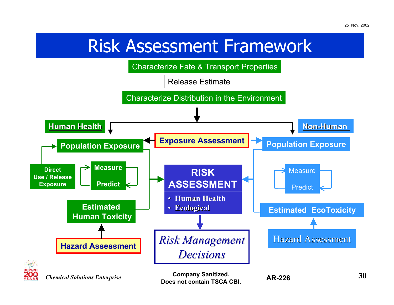# Risk Assessment Framework

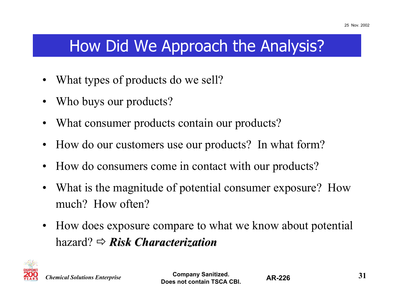## How Did We Approach the Analysis?

- •What types of products do we sell?
- •Who buys our products?
- •What consumer products contain our products?
- •How do our customers use our products? In what form?
- $\bullet$ How do consumers come in contact with our products?
- • What is the magnitude of potential consumer exposure? How much? How often?
- $\bullet$  How does exposure compare to what we know about potential hazard? Ö *Risk Characterization Risk Characterization*

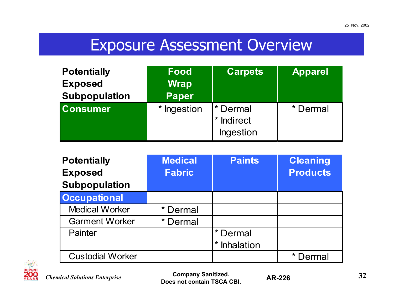## Exposure Assessment Overview

| <b>Potentially</b><br><b>Exposed</b><br><b>Subpopulation</b> | <b>Food</b><br><b>Wrap</b><br><b>Paper</b> | <b>Carpets</b>                                      | <b>Apparel</b> |
|--------------------------------------------------------------|--------------------------------------------|-----------------------------------------------------|----------------|
| <b>Consumer</b>                                              | * Ingestion                                | * Dermal<br><b>Indirect</b><br>$\star$<br>Ingestion | * Dermal       |

| <b>Potentially</b>      | <b>Medical</b> | <b>Paints</b>         | <b>Cleaning</b> |
|-------------------------|----------------|-----------------------|-----------------|
| <b>Exposed</b>          | <b>Fabric</b>  |                       | <b>Products</b> |
| <b>Subpopulation</b>    |                |                       |                 |
| <b>Occupational</b>     |                |                       |                 |
| <b>Medical Worker</b>   | Dermal         |                       |                 |
| <b>Garment Worker</b>   | * Dermal       |                       |                 |
| Painter                 |                | Dermal                |                 |
|                         |                | Inhalation<br>$\star$ |                 |
| <b>Custodial Worker</b> |                |                       | Dermal          |



**Company Sanitized. 32Does not contain TSCA CBI.**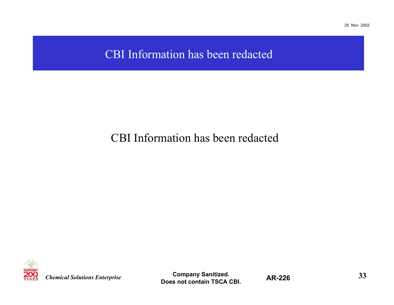#### CBI Information has been redacted

#### CBI Information has been redacted



*Chemical Solutions Enterprise*

Company Sanitized. **AR-226 33 Does not contain TSCA CBI.**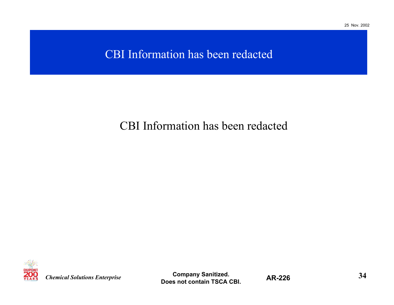#### CBI Information has been redacted

#### CBI Information has been redacted



*Chemical Solutions Enterprise*

**Company Sanitized. 34 Does not contain TSCA CBI.**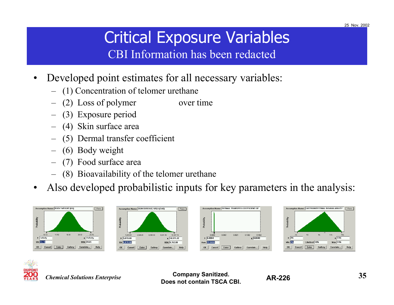# Critical Exposure Variables

CBI Information has been redacted

- $\bullet$  Developed point estimates for all necessary variables:
	- –(1) Concentration of telomer urethane
	- (2) Loss of polymer over time
	- (3) Exposure period
	- –(4) Skin surface area
	- –(5) Dermal transfer coefficient
	- –(6) Body weight
	- –(7) Food surface area
	- (8) Bioavailability of the telomer urethane
- $\bullet$ Also developed probabilistic inputs for key parameters in the analysis:











*Chemical Solutions Enterprise*

**Company Sanitized. 35Does not contain TSCA CBI.**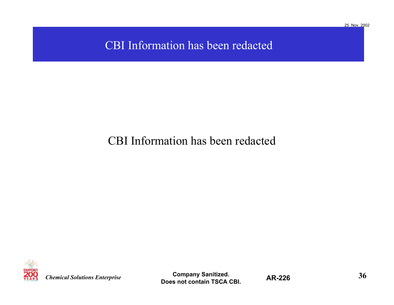#### CBI Information has been redacted

#### CBI Information has been redacted



*Chemical Solutions Enterprise*

**Company Sanitized. AR-226 36 Does not contain TSCA CBI.**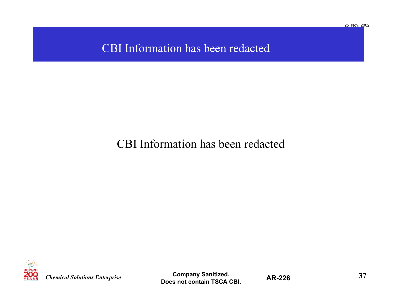#### CBI Information has been redacted

#### CBI Information has been redacted



*Chemical Solutions Enterprise*

**Company Sanitized. 37Does not contain TSCA CBI.**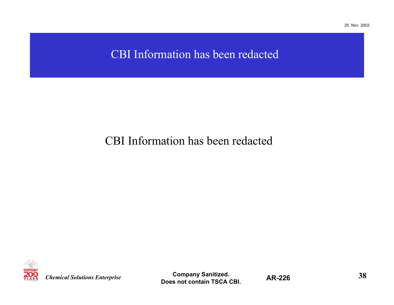#### CBI Information has been redacted

#### CBI Information has been redacted



*Chemical Solutions Enterprise*

**Company Sanitized. 38Does not contain TSCA CBI.**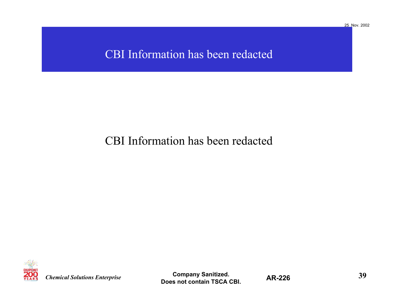#### CBI Information has been redacted

#### CBI Information has been redacted



*Chemical Solutions Enterprise*

Company Sanitized. **AR-226 39 Does not contain TSCA CBI.**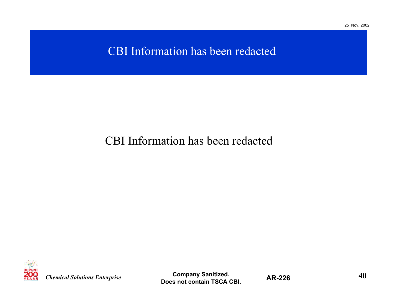#### CBI Information has been redacted

#### CBI Information has been redacted



*Chemical Solutions Enterprise*

**Company Sanitized. AD 226 10 40 Does not contain TSCA CBI.**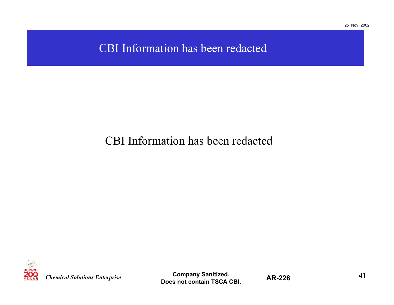#### CBI Information has been redacted

#### CBI Information has been redacted



*Chemical Solutions Enterprise*

**Company Sanitized. 41 Does not contain TSCA CBI.**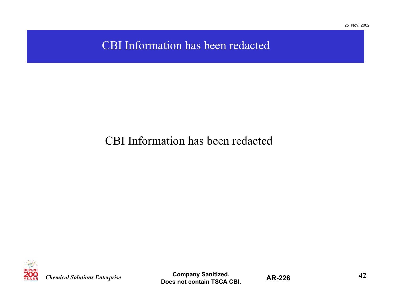CBI Information has been redacted

#### CBI Information has been redacted



*Chemical Solutions Enterprise*

**Company Sanitized. 42 Does not contain TSCA CBI.**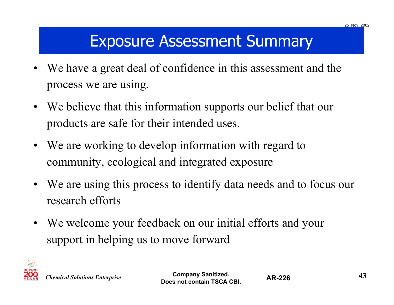## Exposure Assessment Summary

- • We have a great deal of confidence in this assessment and the process we are using.
- We believe that this information supports our belief that our products are safe for their intended uses.
- We are working to develop information with regard to community, ecological and integrated exposure
- We are using this process to identify data needs and to focus our research efforts
- We welcome your feedback on our initial efforts and your support in helping us to move forward



**Company Sanitized. 43Does not contain TSCA CBI.**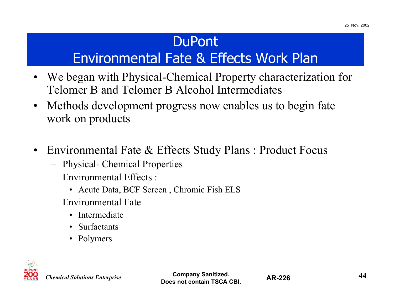### **DuPont**

## Environmental Fate & Effects Work Plan

- $\bullet$  We began with Physical-Chemical Property characterization for Telomer B and Telomer B Alcohol Intermediates
- $\bullet$  Methods development progress now enables us to begin fate work on products
- • Environmental Fate & Effects Study Plans : Product Focus
	- Physical- Chemical Properties
	- Environmental Effects :
		- Acute Data, BCF Screen, Chromic Fish ELS
	- Environmental Fate
		- Intermediate
		- Surfactants
		- Polymers



*Chemical Solutions Enterprise*

**Company Sanitized. 44Does not contain TSCA CBI.**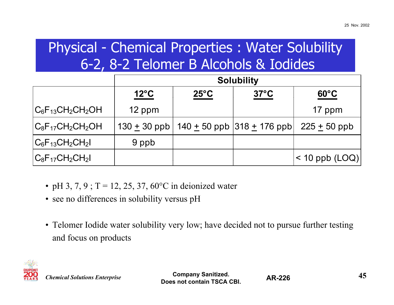### Physical - Chemical Properties : Water Solubility 6-2, 8-2 Telomer B Alcohols & Iodides

|                        |             | <b>Solubility</b> |                                                         |                  |  |  |
|------------------------|-------------|-------------------|---------------------------------------------------------|------------------|--|--|
|                        | <u>12°C</u> | $25^{\circ}$ C    | $37^{\circ}$ C                                          | $60^{\circ}$ C   |  |  |
| $ C_6F_{13}CH_2CH_2OH$ | 12 ppm      |                   |                                                         | 17 ppm           |  |  |
| $ C_8F_{17}CH_2CH_2OH$ |             |                   | 130 $\pm$ 30 ppb   140 $\pm$ 50 ppb   318 $\pm$ 176 ppb | $225 + 50$ ppb   |  |  |
| $ C_6F_{13}CH_2CH_2 $  | 9 ppb       |                   |                                                         |                  |  |  |
| $ C_8F_{17}CH_2CH_2 $  |             |                   |                                                         | $<$ 10 ppb (LOQ) |  |  |

- pH 3, 7, 9; T = 12, 25, 37, 60 $^{\circ}$ C in deionized water
- see no differences in solubility versus pH
- Telomer Iodide water solubility very low; have decided not to pursue further testing and focus on products



**Company Sanitized. 45 Does not contain TSCA CBI.**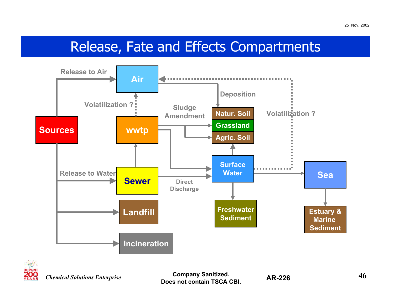### Release, Fate and Effects Compartments





*Chemical Solutions Enterprise*

**Company Sanitized. AD 226 16 46 Does not contain TSCA CBI.**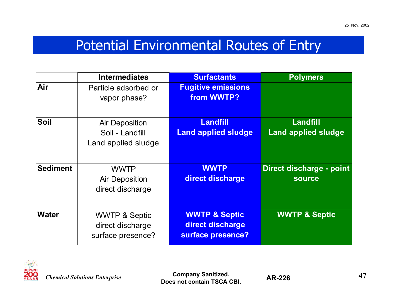### Potential Environmental Routes of Entry

|                 | <b>Intermediates</b>                                              | <b>Surfactants</b>                                                | <b>Polymers</b>                           |
|-----------------|-------------------------------------------------------------------|-------------------------------------------------------------------|-------------------------------------------|
| Air             | Particle adsorbed or<br>vapor phase?                              | <b>Fugitive emissions</b><br>from WWTP?                           |                                           |
| <b>Soil</b>     | <b>Air Deposition</b><br>Soil - Landfill<br>Land applied sludge   | <b>Landfill</b><br><b>Land applied sludge</b>                     | Landfill<br><b>Land applied sludge</b>    |
| <b>Sediment</b> | <b>WWTP</b><br><b>Air Deposition</b><br>direct discharge          | <b>WWTP</b><br>direct discharge                                   | Direct discharge - point<br><b>source</b> |
| <b>Water</b>    | <b>WWTP &amp; Septic</b><br>direct discharge<br>surface presence? | <b>WWTP &amp; Septic</b><br>direct discharge<br>surface presence? | <b>WWTP &amp; Septic</b>                  |



**Company Sanitized. 47 Does not contain TSCA CBI.**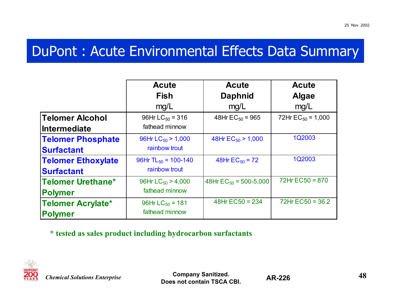### DuPont : Acute Environmental Effects Data Summary

|                           | <b>Acute</b><br><b>Fish</b>     | <b>Acute</b><br><b>Daphnid</b> | <b>Acute</b><br><b>Algae</b> |
|---------------------------|---------------------------------|--------------------------------|------------------------------|
|                           | mg/L                            | mg/L                           | mg/L                         |
| <b>Telomer Alcohol</b>    | 96Hr $LC_{50}$ = 316            | 48Hr $EC_{50}$ = 965           | 72Hr $EC_{50} = 1,000$       |
| Intermediate              | fathead minnow                  |                                |                              |
| <b>Telomer Phosphate</b>  | 96Hr $LC_{50}$ > 1,000          | 48Hr $EC_{50}$ > 1,000         | 1Q2003                       |
| <b>Surfactant</b>         | rainbow trout                   |                                |                              |
| <b>Telomer Ethoxylate</b> | 96Hr TL <sub>50</sub> = 100-140 | 48Hr $EC_{50} = 72$            | 1Q2003                       |
| <b>Surfactant</b>         | rainbow trout                   |                                |                              |
| Telomer Urethane*         | 96Hr $LC_{50}$ > 4,000          | 48Hr $EC_{50}$ = 500-5,000     | $72Hr$ EC50 = 870            |
| <b>Polymer</b>            | fathead minnow                  |                                |                              |
| <b>Telomer Acrylate*</b>  | 96Hr $LC_{50}$ = 181            | 48Hr $EC50 = 234$              | $72Hr$ EC50 = 36.2           |
| <b>Polymer</b>            | fathead minnow                  |                                |                              |

**\* tested as sales product including hydrocarbon surfactants**



**Company Sanitized. 48Does not contain TSCA CBI.**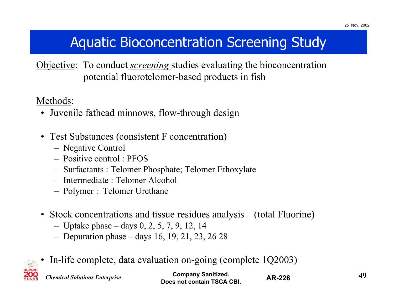### Aquatic Bioconcentration Screening Study

Objective: To conduct *screening* studies evaluating the bioconcentration potential fluorotelomer-based products in fish

Methods:

- Juvenile fathead minnows, flow-through design
- Test Substances (consistent F concentration)
	- Negative Control
	- Positive control : PFOS
	- Surfactants : Telomer Phosphate; Telomer Ethoxylate
	- Intermediate : Telomer Alcohol
	- Polymer : Telomer Urethane
- Stock concentrations and tissue residues analysis (total Fluorine)
	- Uptake phase days 0, 2, 5, 7, 9, 12, 14
	- Depuration phase days 16, 19, 21, 23, 26 28
- •In-life complete, data evaluation on-going (complete 1Q2003)

*Chemical Solutions Enterprise*

**Company Sanitized. 49 Does not contain TSCA CBI.**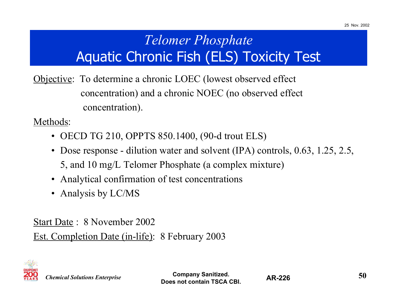### *Telomer Phosphate* Aquatic Chronic Fish (ELS) Toxicity Test

Objective: To determine a chronic LOEC (lowest observed effect concentration) and a chronic NOEC (no observed effect concentration).

Methods:

- OECD TG 210, OPPTS 850.1400, (90-d trout ELS)
- Dose response dilution water and solvent (IPA) controls, 0.63, 1.25, 2.5, 5, and 10 mg/L Telomer Phosphate (a complex mixture)
- Analytical confirmation of test concentrations
- Analysis by LC/MS

Start Date : 8 November 2002Est. Completion Date (in-life): 8 February 2003



*Chemical Solutions Enterprise*

**Company Sanitized. 50**<br>**AD 226**<br>**50 Does not contain TSCA CBI.**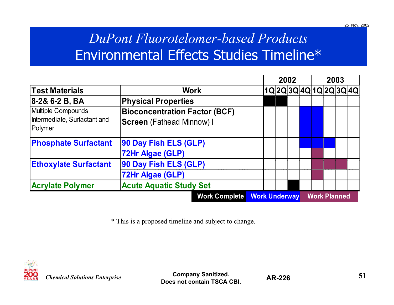### *DuPont Fluorotelomer-based Products* Environmental Effects Studies Timeline\*

|                                                                      |                                                                          |                      | 2002                    |  |  |                     | 2003 |  |  |  |
|----------------------------------------------------------------------|--------------------------------------------------------------------------|----------------------|-------------------------|--|--|---------------------|------|--|--|--|
| <b>Test Materials</b>                                                | <b>Work</b>                                                              |                      | 1Q 2Q 3Q 4Q 1Q 2Q 3Q 4Q |  |  |                     |      |  |  |  |
| 8-2& 6-2 B, BA                                                       | <b>Physical Properties</b>                                               |                      |                         |  |  |                     |      |  |  |  |
| <b>Multiple Compounds</b><br>Intermediate, Surfactant and<br>Polymer | <b>Bioconcentration Factor (BCF)</b><br><b>Screen</b> (Fathead Minnow) I |                      |                         |  |  |                     |      |  |  |  |
| <b>Phosphate Surfactant</b>                                          | 90 Day Fish ELS (GLP)<br>72Hr Algae (GLP)                                |                      |                         |  |  |                     |      |  |  |  |
| <b>Ethoxylate Surfactant</b>                                         | 90 Day Fish ELS (GLP)<br>72Hr Algae (GLP)                                |                      |                         |  |  |                     |      |  |  |  |
| <b>Acrylate Polymer</b>                                              | <b>Acute Aquatic Study Set</b>                                           |                      |                         |  |  |                     |      |  |  |  |
|                                                                      | <b>Work Complete</b>                                                     | <b>Work Underway</b> |                         |  |  | <b>Work Planned</b> |      |  |  |  |

\* This is a proposed timeline and subject to change.



**Company Sanitized. 51Does not contain TSCA CBI.**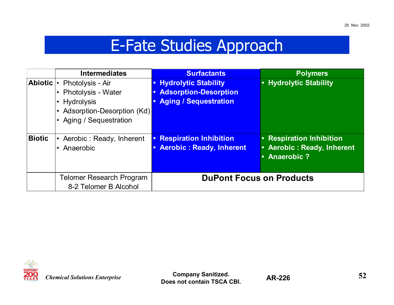## E-Fate Studies Approach

|                | <b>Intermediates</b>            | <b>Surfactants</b>                         | <b>Polymers</b>                 |
|----------------|---------------------------------|--------------------------------------------|---------------------------------|
| <b>Abiotic</b> | Photolysis - Air                | <b>Hydrolytic Stability</b>                | • Hydrolytic Stability          |
|                | Photolysis - Water              | <b>Adsorption-Desorption</b>               |                                 |
|                | <b>Hydrolysis</b><br>$\bullet$  | <b>Aging / Sequestration</b>               |                                 |
|                | Adsorption-Desorption (Kd)      |                                            |                                 |
|                | Aging / Sequestration           |                                            |                                 |
|                |                                 |                                            |                                 |
| <b>Biotic</b>  | Aerobic: Ready, Inherent        | <b>Respiration Inhibition</b><br>$\bullet$ | • Respiration Inhibition        |
|                | Anaerobic<br>$\bullet$          | <b>Aerobic: Ready, Inherent</b>            | • Aerobic: Ready, Inherent      |
|                |                                 |                                            | • Anaerobic?                    |
|                |                                 |                                            |                                 |
|                | <b>Telomer Research Program</b> |                                            | <b>DuPont Focus on Products</b> |
|                | 8-2 Telomer B Alcohol           |                                            |                                 |



**Company Sanitized. 52Does not contain TSCA CBI.**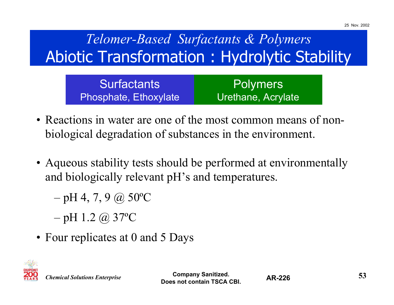## *Telomer-Based Surfactants & Polymers* Abiotic Transformation : Hydrolytic Stability

| <b>Surfactants</b>    | Polymers           |
|-----------------------|--------------------|
| Phosphate, Ethoxylate | Urethane, Acrylate |

- Reactions in water are one of the most common means of nonbiological degradation of substances in the environment.
- Aqueous stability tests should be performed at environmentally and biologically relevant pH's and temperatures.
	- –pH 4, 7, 9  $@$  50°C
	- –pH 1.2 @ 37ºC
- Four replicates at 0 and 5 Days



*Chemical Solutions Enterprise*

**Company Sanitized. 53Does not contain TSCA CBI.**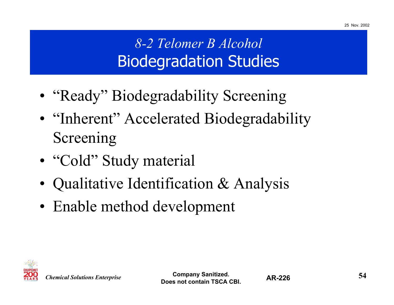## *8-2 Telomer B Alcohol* Biodegradation Studies

- "Ready" Biodegradability Screening
- "Inherent" Accelerated Biodegradability Screening
- "Cold" Study material
- •Qualitative Identification & Analysis
- Enable method development

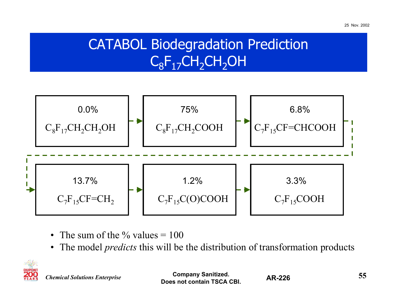### CATABOL Biodegradation Prediction  $C_8F_{17}CH_2CH_2OH$



- The sum of the  $\%$  values = 100
- The model *predicts* this will be the distribution of transformation products



*Chemical Solutions Enterprise*

**Company Sanitized. 55Does not contain TSCA CBI.**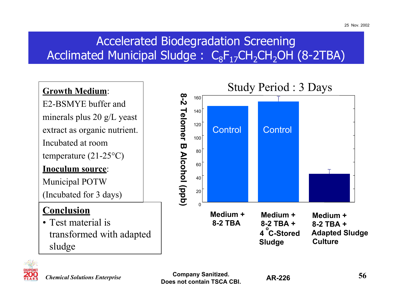### Accelerated Biodegradation Screening Acclimated Municipal Sludge : C<sub>8</sub>F<sub>17</sub>CH<sub>2</sub>CH<sub>2</sub>OH (8-2TBA)

#### **Growth Medium**:

E2-BSMYE buffer andminerals plus 20 g/L yeast extract as organic nutrient. Incubated at room

temperature (21-25°C)

#### **Inoculum source**:

Municipal POTW

(Incubated for 3 days)

#### **Conclusion**

• Test material istransformed with adapted sludge





*Chemical Solutions Enterprise*

**Company Sanitized. 56 Does not contain TSCA CBI.**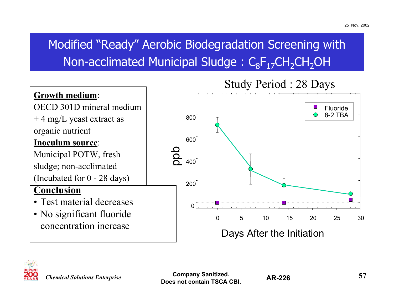### Modified "Ready" Aerobic Biodegradation Screening with Non-acclimated Municipal Sludge :  $C_8F_{17}CH_2CH_2OH$







*Chemical Solutions Enterprise*

**Company Sanitized. 57Does not contain TSCA CBI.**

**AR-226**

25 Nov. 2002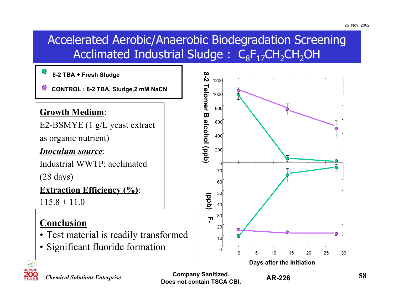#### Accelerated Aerobic/Anaerobic Biodegradation Screening Acclimated Industrial Sludge :  $\textsf{C}_8\textsf{F}_{17}\textsf{CH}_2\textsf{CH}_2\textsf{OH}$



**Does not contain TSCA CBI.**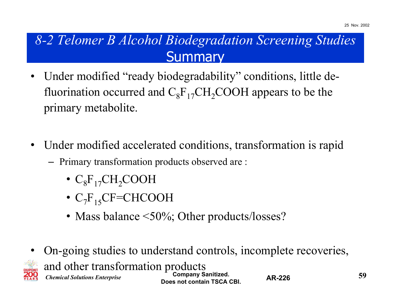### *8-2 Telomer B Alcohol Biodegradation Screening Studies* **Summary**

- $\bullet$  Under modified "ready biodegradability" conditions, little defluorination occurred and  $C_8F_{17}CH_2COOH$  appears to be the primary metabolite.
- $\bullet$  Under modified accelerated conditions, transformation is rapid
	- Primary transformation products observed are :
		- $\cdot \ \text{C}_{8}\text{F}_{17}\text{CH}_{2}\text{COOH}$
		- $\mathrm{C_{7}F_{15}CF=CHCOOH}$
		- Mass balance <50%; Other products/losses?
- *Chemical Solutions Enterprise* **Company Sanitized. 59 Does not contain TSCA CBI. AR-226** • On-going studies to understand controls, incomplete recoveries, and other transformation products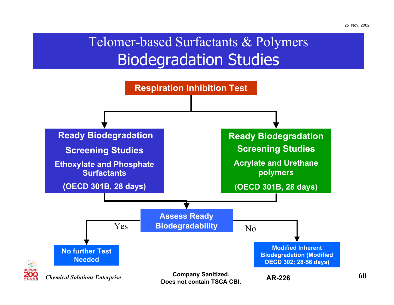## Telomer-based Surfactants & Polymers Biodegradation Studies

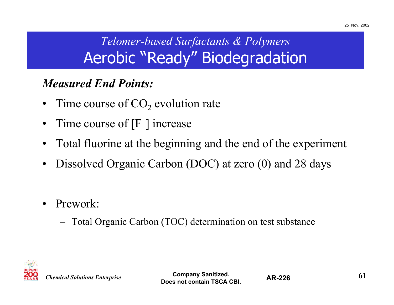## *Telomer-based Surfactants & Polymers* Aerobic "Ready" Biodegradation

#### *Measured End Points:*

- •Time course of  $CO<sub>2</sub>$  evolution rate
- •Time course of [F–] increase
- •Total fluorine at the beginning and the end of the experiment
- •Dissolved Organic Carbon (DOC) at zero (0) and 28 days
- $\bullet$  Prework:
	- –Total Organic Carbon (TOC) determination on test substance



*Chemical Solutions Enterprise*

**Company Sanitized. 61 Does not contain TSCA CBI.**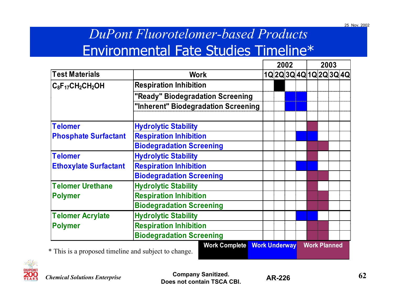### *DuPont Fluorotelomer-based Products* Environmental Fate Studies Timeline\*

|                              |                                     |  | 2002 |  |  | 2003 |  |                  |  |
|------------------------------|-------------------------------------|--|------|--|--|------|--|------------------|--|
| <b>Test Materials</b>        | <b>Work</b>                         |  |      |  |  |      |  | 1Q2Q3Q4Q1Q2Q3Q4Q |  |
| $C_8F_{17}CH_2CH_2OH$        | <b>Respiration Inhibition</b>       |  |      |  |  |      |  |                  |  |
|                              | "Ready" Biodegradation Screening    |  |      |  |  |      |  |                  |  |
|                              | "Inherent" Biodegradation Screening |  |      |  |  |      |  |                  |  |
| <b>Telomer</b>               | <b>Hydrolytic Stability</b>         |  |      |  |  |      |  |                  |  |
| <b>Phosphate Surfactant</b>  | <b>Respiration Inhibition</b>       |  |      |  |  |      |  |                  |  |
|                              | <b>Biodegradation Screening</b>     |  |      |  |  |      |  |                  |  |
| <b>Telomer</b>               | <b>Hydrolytic Stability</b>         |  |      |  |  |      |  |                  |  |
| <b>Ethoxylate Surfactant</b> | <b>Respiration Inhibition</b>       |  |      |  |  |      |  |                  |  |
|                              | <b>Biodegradation Screening</b>     |  |      |  |  |      |  |                  |  |
| <b>Telomer Urethane</b>      | <b>Hydrolytic Stability</b>         |  |      |  |  |      |  |                  |  |
| <b>Polymer</b>               | <b>Respiration Inhibition</b>       |  |      |  |  |      |  |                  |  |
|                              | <b>Biodegradation Screening</b>     |  |      |  |  |      |  |                  |  |
| <b>Telomer Acrylate</b>      | <b>Hydrolytic Stability</b>         |  |      |  |  |      |  |                  |  |
| <b>Polymer</b>               | <b>Respiration Inhibition</b>       |  |      |  |  |      |  |                  |  |
|                              | <b>Biodegradation Screening</b>     |  |      |  |  |      |  |                  |  |



*Chemical Solutions Enterprise*

**Company Sanitized. 62 Does not contain TSCA CBI.**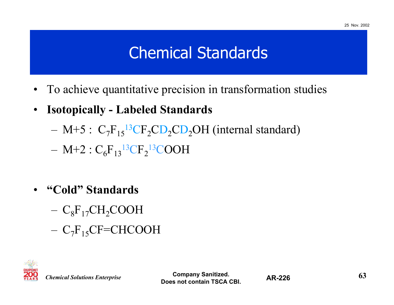## Chemical Standards

- •To achieve quantitative precision in transformation studies
- $\bullet$  **Isotopically - Labeled Standards**
	- – $M+5$ :  $C_7F_{15}{}^{13}CF_2CD_2CD_2OH$  (internal standard)
	- – $\rm M+2: C_6F_{13}^{13}CF_2^{13}COOH$
- $\bullet$  **"Cold" Standards**
	- – $\rm{C_8F_{17}CH_2COOH}$
	- – $\rm{C_7F_{15}CF=CHCOOH}$



*Chemical Solutions Enterprise*

**Company Sanitized. 63 Does not contain TSCA CBI.**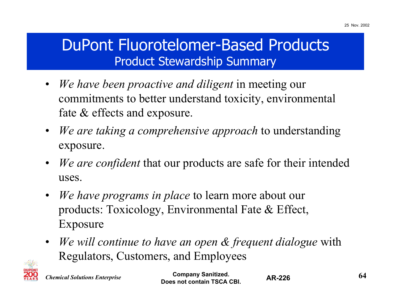### DuPont Fluorotelomer-Based Products Product Stewardship Summary

- $\bullet$  *We have been proactive and diligent* in meeting our commitments to better understand toxicity, environmental fate & effects and exposure.
- $\bullet$  *We are taking a comprehensive approach* to understanding exposure.
- $\bullet$  *We are confident* that our products are safe for their intended uses.
- $\bullet$  *We have programs in place* to learn more about our products: Toxicology, Environmental Fate & Effect, Exposure
- *We will continue to have an open & frequent dialogue* with Regulators, Customers, and Employees



*Chemical Solutions Enterprise*

**Company Sanitized. 64 Does not contain TSCA CBI.**